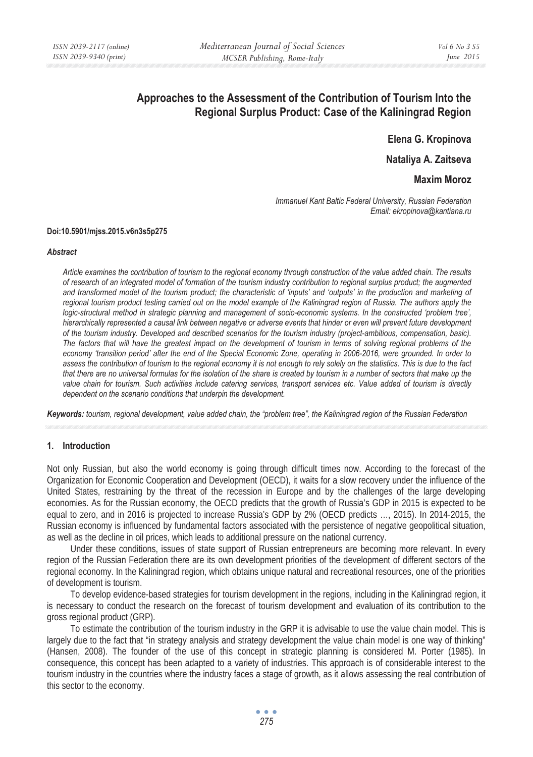# **Approaches to the Assessment of the Contribution of Tourism Into the Regional Surplus Product: Case of the Kaliningrad Region**

**Elena G. Kropinova** 

**Nataliya A. Zaitseva** 

**Maxim Moroz** 

*Immanuel Kant Baltic Federal University, Russian Federation Email: ekropinova@kantiana.ru* 

#### **Doi:10.5901/mjss.2015.v6n3s5p275**

#### *Abstract*

*Article examines the contribution of tourism to the regional economy through construction of the value added chain. The results of research of an integrated model of formation of the tourism industry contribution to regional surplus product; the augmented and transformed model of the tourism product; the characteristic of 'inputs' and 'outputs' in the production and marketing of*  regional tourism product testing carried out on the model example of the Kaliningrad region of Russia. The authors apply the *logic-structural method in strategic planning and management of socio-economic systems. In the constructed 'problem tree', hierarchically represented a causal link between negative or adverse events that hinder or even will prevent future development of the tourism industry. Developed and described scenarios for the tourism industry (project-ambitious, compensation, basic). The factors that will have the greatest impact on the development of tourism in terms of solving regional problems of the economy 'transition period' after the end of the Special Economic Zone, operating in 2006-2016, were grounded. In order to assess the contribution of tourism to the regional economy it is not enough to rely solely on the statistics. This is due to the fact that there are no universal formulas for the isolation of the share is created by tourism in a number of sectors that make up the value chain for tourism. Such activities include catering services, transport services etc. Value added of tourism is directly dependent on the scenario conditions that underpin the development.* 

*Keywords: tourism, regional development, value added chain, the "problem tree", the Kaliningrad region of the Russian Federation* 

#### **1. Introduction**

Not only Russian, but also the world economy is going through difficult times now. According to the forecast of the Organization for Economic Cooperation and Development (OECD), it waits for a slow recovery under the influence of the United States, restraining by the threat of the recession in Europe and by the challenges of the large developing economies. As for the Russian economy, the OECD predicts that the growth of Russia's GDP in 2015 is expected to be equal to zero, and in 2016 is projected to increase Russia's GDP by 2% (OECD predicts …, 2015). In 2014-2015, the Russian economy is influenced by fundamental factors associated with the persistence of negative geopolitical situation, as well as the decline in oil prices, which leads to additional pressure on the national currency.

Under these conditions, issues of state support of Russian entrepreneurs are becoming more relevant. In every region of the Russian Federation there are its own development priorities of the development of different sectors of the regional economy. In the Kaliningrad region, which obtains unique natural and recreational resources, one of the priorities of development is tourism.

To develop evidence-based strategies for tourism development in the regions, including in the Kaliningrad region, it is necessary to conduct the research on the forecast of tourism development and evaluation of its contribution to the gross regional product (GRP).

To estimate the contribution of the tourism industry in the GRP it is advisable to use the value chain model. This is largely due to the fact that "in strategy analysis and strategy development the value chain model is one way of thinking" (Hansen, 2008). The founder of the use of this concept in strategic planning is considered M. Porter (1985). In consequence, this concept has been adapted to a variety of industries. This approach is of considerable interest to the tourism industry in the countries where the industry faces a stage of growth, as it allows assessing the real contribution of this sector to the economy.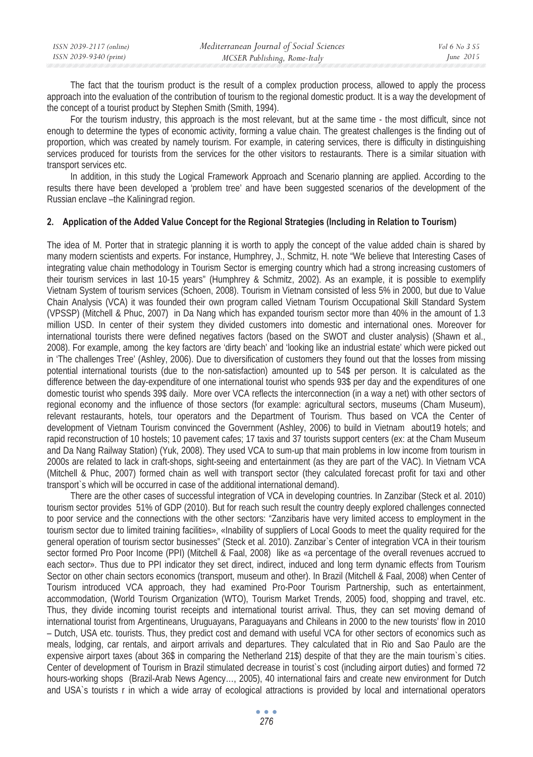| ISSN 2039-2117 (online) | Mediterranean Journal of Social Sciences | <i>Vol</i> 6 No 3 S5 |
|-------------------------|------------------------------------------|----------------------|
| ISSN 2039-9340 (print)  | MCSER Publishing, Rome-Italy             | June $2015$          |

The fact that the tourism product is the result of a complex production process, allowed to apply the process approach into the evaluation of the contribution of tourism to the regional domestic product. It is a way the development of the concept of a tourist product by Stephen Smith (Smith, 1994).

For the tourism industry, this approach is the most relevant, but at the same time - the most difficult, since not enough to determine the types of economic activity, forming a value chain. The greatest challenges is the finding out of proportion, which was created by namely tourism. For example, in catering services, there is difficulty in distinguishing services produced for tourists from the services for the other visitors to restaurants. There is a similar situation with transport services etc.

In addition, in this study the Logical Framework Approach and Scenario planning are applied. According to the results there have been developed a 'problem tree' and have been suggested scenarios of the development of the Russian enclave –the Kaliningrad region.

#### **2. Application of the Added Value Concept for the Regional Strategies (Including in Relation to Tourism)**

The idea of M. Porter that in strategic planning it is worth to apply the concept of the value added chain is shared by many modern scientists and experts. For instance, Humphrey, J., Schmitz, H. note "We believe that Interesting Cases of integrating value chain methodology in Tourism Sector is emerging country which had a strong increasing customers of their tourism services in last 10-15 years" (Humphrey & Schmitz, 2002). As an example, it is possible to exemplify Vietnam System of tourism services (Schoen, 2008). Tourism in Vietnam consisted of less 5% in 2000, but due to Value Chain Analysis (VCA) it was founded their own program called Vietnam Tourism Occupational Skill Standard System (VPSSP) (Mitchell & Phuc, 2007) in Da Nang which has expanded tourism sector more than 40% in the amount of 1.3 million USD. In center of their system they divided customers into domestic and international ones. Moreover for international tourists there were defined negatives factors (based on the SWOT and cluster analysis) (Shawn et al., 2008). For example, among the key factors are 'dirty beach' and 'looking like an industrial estate' which were picked out in 'The challenges Tree' (Ashley, 2006). Due to diversification of customers they found out that the losses from missing potential international tourists (due to the non-satisfaction) amounted up to 54\$ per person. It is calculated as the difference between the day-expenditure of one international tourist who spends 93\$ per day and the expenditures of one domestic tourist who spends 39\$ daily. More over VCA reflects the interconnection (in a way a net) with other sectors of regional economy and the influence of those sectors (for example: agricultural sectors, museums (Cham Museum), relevant restaurants, hotels, tour operators and the Department of Tourism. Thus based on VCA the Center of development of Vietnam Tourism convinced the Government (Ashley, 2006) to build in Vietnam about19 hotels; and rapid reconstruction of 10 hostels; 10 pavement cafes; 17 taxis and 37 tourists support centers (ex: at the Cham Museum and Da Nang Railway Station) (Yuk, 2008). They used VCA to sum-up that main problems in low income from tourism in 2000s are related to lack in craft-shops, sight-seeing and entertainment (as they are part of the VAC). In Vietnam VCA (Mitchell & Phuc, 2007) formed chain as well with transport sector (they calculated forecast profit for taxi and other transport`s which will be occurred in case of the additional international demand).

There are the other cases of successful integration of VCA in developing countries. In Zanzibar (Steck et al. 2010) tourism sector provides 51% of GDP (2010). But for reach such result the country deeply explored challenges connected to poor service and the connections with the other sectors: "Zanzibaris have very limited access to employment in the tourism sector due to limited training facilities», «Inability of suppliers of Local Goods to meet the quality required for the general operation of tourism sector businesses" (Steck et al. 2010). Zanzibar`s Center of integration VCA in their tourism sector formed Pro Poor Income (PPI) (Mitchell & Faal, 2008) like as «a percentage of the overall revenues accrued to each sector». Thus due to PPI indicator they set direct, indirect, induced and long term dynamic effects from Tourism Sector on other chain sectors economics (transport, museum and other). In Brazil (Mitchell & Faal, 2008) when Center of Tourism introduced VCA approach, they had examined Pro-Poor Tourism Partnership, such as entertainment, accommodation, (World Tourism Organization (WTO), Tourism Market Trends, 2005) food, shopping and travel, etc. Thus, they divide incoming tourist receipts and international tourist arrival. Thus, they can set moving demand of international tourist from Argentineans, Uruguayans, Paraguayans and Chileans in 2000 to the new tourists' flow in 2010 – Dutch, USA etc. tourists. Thus, they predict cost and demand with useful VCA for other sectors of economics such as meals, lodging, car rentals, and airport arrivals and departures. They calculated that in Rio and Sao Paulo are the expensive airport taxes (about 36\$ in comparing the Netherland 21\$) despite of that they are the main tourism`s cities. Center of development of Tourism in Brazil stimulated decrease in tourist`s cost (including airport duties) and formed 72 hours-working shops (Brazil-Arab News Agency…, 2005), 40 international fairs and create new environment for Dutch and USA`s tourists r in which a wide array of ecological attractions is provided by local and international operators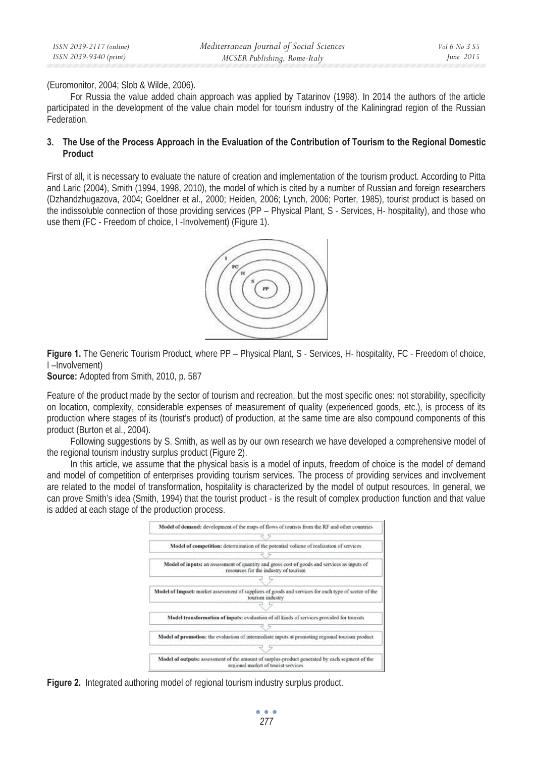| ISSN 2039-2117 (online) |
|-------------------------|
| ISSN 2039-9340 (print)  |

### (Euromonitor, 2004; Slob & Wilde, 2006).

For Russia the value added chain approach was applied by Tatarinov (1998). In 2014 the authors of the article participated in the development of the value chain model for tourism industry of the Kaliningrad region of the Russian Federation.

### **3. The Use of the Process Approach in the Evaluation of the Contribution of Tourism to the Regional Domestic Product**

First of all, it is necessary to evaluate the nature of creation and implementation of the tourism product. According to Pitta and Laric (2004), Smith (1994, 1998, 2010), the model of which is cited by a number of Russian and foreign researchers (Dzhandzhugazova, 2004; Goeldner et al., 2000; Heiden, 2006; Lynch, 2006; Porter, 1985), tourist product is based on the indissoluble connection of those providing services (PP – Physical Plant, S - Services, H- hospitality), and those who use them (FC - Freedom of choice, I -Involvement) (Figure 1).



**Figure 1.** The Generic Tourism Product, where PP – Physical Plant, S - Services, H- hospitality, FC - Freedom of choice, I –Involvement)

**Source:** Adopted from Smith, 2010, p. 587

Feature of the product made by the sector of tourism and recreation, but the most specific ones: not storability, specificity on location, complexity, considerable expenses of measurement of quality (experienced goods, etc.), is process of its production where stages of its (tourist's product) of production, at the same time are also compound components of this product (Burton et al., 2004).

Following suggestions by S. Smith, as well as by our own research we have developed a comprehensive model of the regional tourism industry surplus product (Figure 2).

In this article, we assume that the physical basis is a model of inputs, freedom of choice is the model of demand and model of competition of enterprises providing tourism services. The process of providing services and involvement are related to the model of transformation, hospitality is characterized by the model of output resources. In general, we can prove Smith's idea (Smith, 1994) that the tourist product - is the result of complex production function and that value is added at each stage of the production process.



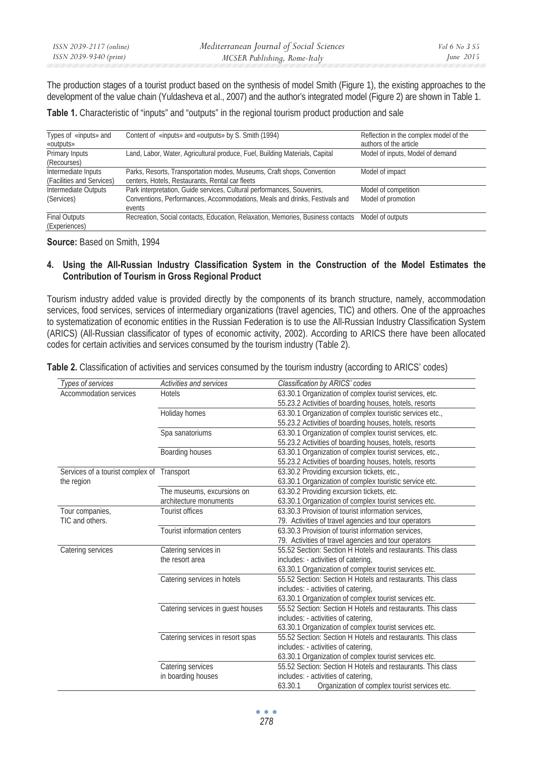The production stages of a tourist product based on the synthesis of model Smith (Figure 1), the existing approaches to the development of the value chain (Yuldasheva et al., 2007) and the author's integrated model (Figure 2) are shown in Table 1.

Table 1. Characteristic of "inputs" and "outputs" in the regional tourism product production and sale

| Types of «inputs» and<br>«outputs»               | Content of «inputs» and «outputs» by S. Smith (1994)                                                                                                           | Reflection in the complex model of the<br>authors of the article |
|--------------------------------------------------|----------------------------------------------------------------------------------------------------------------------------------------------------------------|------------------------------------------------------------------|
| Primary Inputs<br>(Recourses)                    | Land, Labor, Water, Agricultural produce, Fuel, Building Materials, Capital                                                                                    | Model of inputs, Model of demand                                 |
| Intermediate Inputs<br>(Facilities and Services) | Parks, Resorts, Transportation modes, Museums, Craft shops, Convention<br>centers, Hotels, Restaurants, Rental car fleets                                      | Model of impact                                                  |
| Intermediate Outputs<br>(Services)               | Park interpretation, Guide services, Cultural performances, Souvenirs,<br>Conventions, Performances, Accommodations, Meals and drinks, Festivals and<br>events | Model of competition<br>Model of promotion                       |
| Final Outputs<br>(Experiences)                   | Recreation, Social contacts, Education, Relaxation, Memories, Business contacts  Model of outputs                                                              |                                                                  |

**Source:** Based on Smith, 1994

## **4. Using the All-Russian Industry Classification System in the Construction of the Model Estimates the Contribution of Tourism in Gross Regional Product**

Tourism industry added value is provided directly by the components of its branch structure, namely, accommodation services, food services, services of intermediary organizations (travel agencies, TIC) and others. One of the approaches to systematization of economic entities in the Russian Federation is to use the All-Russian Industry Classification System (ARICS) (All-Russian classificator of types of economic activity, 2002). According to ARICS there have been allocated codes for certain activities and services consumed by the tourism industry (Table 2).

| Table 2. Classification of activities and services consumed by the tourism industry (according to ARICS' codes) |  |  |
|-----------------------------------------------------------------------------------------------------------------|--|--|
|-----------------------------------------------------------------------------------------------------------------|--|--|

| Types of services                          | Activities and services           | Classification by ARICS' codes                              |
|--------------------------------------------|-----------------------------------|-------------------------------------------------------------|
| Accommodation services                     | <b>Hotels</b>                     | 63.30.1 Organization of complex tourist services, etc.      |
|                                            |                                   | 55.23.2 Activities of boarding houses, hotels, resorts      |
|                                            | Holiday homes                     | 63.30.1 Organization of complex touristic services etc.,    |
|                                            |                                   | 55.23.2 Activities of boarding houses, hotels, resorts      |
|                                            | Spa sanatoriums                   | 63.30.1 Organization of complex tourist services, etc.      |
|                                            |                                   | 55.23.2 Activities of boarding houses, hotels, resorts      |
|                                            | Boarding houses                   | 63.30.1 Organization of complex tourist services, etc.,     |
|                                            |                                   | 55.23.2 Activities of boarding houses, hotels, resorts      |
| Services of a tourist complex of Transport |                                   | 63.30.2 Providing excursion tickets, etc.,                  |
| the region                                 |                                   | 63.30.1 Organization of complex touristic service etc.      |
|                                            | The museums, excursions on        | 63.30.2 Providing excursion tickets, etc.                   |
|                                            | architecture monuments            | 63.30.1 Organization of complex tourist services etc.       |
| Tour companies,                            | <b>Tourist offices</b>            | 63.30.3 Provision of tourist information services.          |
| TIC and others.                            |                                   | 79. Activities of travel agencies and tour operators        |
|                                            | Tourist information centers       | 63.30.3 Provision of tourist information services.          |
|                                            |                                   | 79. Activities of travel agencies and tour operators        |
| Catering services                          | Catering services in              | 55.52 Section: Section H Hotels and restaurants. This class |
|                                            | the resort area                   | includes: - activities of catering,                         |
|                                            |                                   | 63.30.1 Organization of complex tourist services etc.       |
|                                            | Catering services in hotels       | 55.52 Section: Section H Hotels and restaurants. This class |
|                                            |                                   | includes: - activities of catering,                         |
|                                            |                                   | 63.30.1 Organization of complex tourist services etc.       |
|                                            | Catering services in quest houses | 55.52 Section: Section H Hotels and restaurants. This class |
|                                            |                                   | includes: - activities of catering,                         |
|                                            |                                   | 63.30.1 Organization of complex tourist services etc.       |
|                                            | Catering services in resort spas  | 55.52 Section: Section H Hotels and restaurants. This class |
|                                            |                                   | includes: - activities of catering,                         |
|                                            |                                   | 63.30.1 Organization of complex tourist services etc.       |
|                                            | Catering services                 | 55.52 Section: Section H Hotels and restaurants. This class |
|                                            | in boarding houses                | includes: - activities of catering,                         |
|                                            |                                   | 63.30.1<br>Organization of complex tourist services etc.    |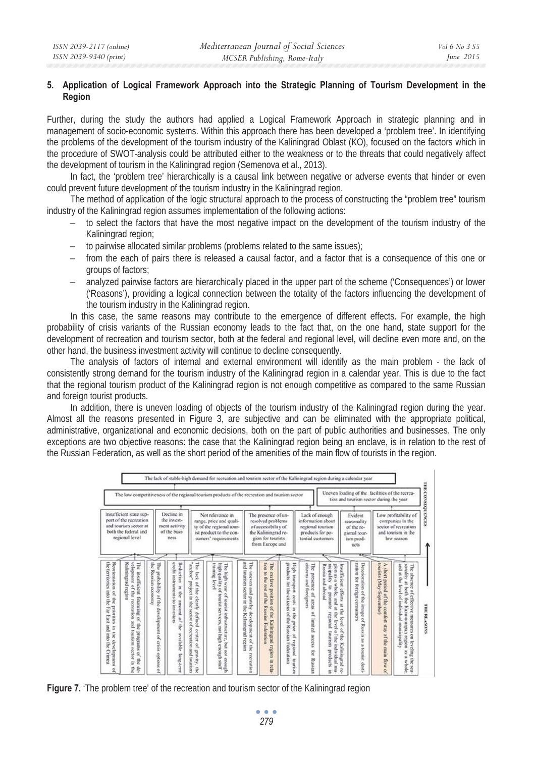# **5. Application of Logical Framework Approach into the Strategic Planning of Tourism Development in the Region**

Further, during the study the authors had applied a Logical Framework Approach in strategic planning and in management of socio-economic systems. Within this approach there has been developed a 'problem tree'. In identifying the problems of the development of the tourism industry of the Kaliningrad Oblast (KO), focused on the factors which in the procedure of SWOT-analysis could be attributed either to the weakness or to the threats that could negatively affect the development of tourism in the Kaliningrad region (Semenova et al., 2013).

In fact, the 'problem tree' hierarchically is a causal link between negative or adverse events that hinder or even could prevent future development of the tourism industry in the Kaliningrad region.

The method of application of the logic structural approach to the process of constructing the "problem tree" tourism industry of the Kaliningrad region assumes implementation of the following actions:

- − to select the factors that have the most negative impact on the development of the tourism industry of the Kaliningrad region;
- − to pairwise allocated similar problems (problems related to the same issues);
- − from the each of pairs there is released a causal factor, and a factor that is a consequence of this one or groups of factors;
- − analyzed pairwise factors are hierarchically placed in the upper part of the scheme ('Consequences') or lower ('Reasons'), providing a logical connection between the totality of the factors influencing the development of the tourism industry in the Kaliningrad region.

In this case, the same reasons may contribute to the emergence of different effects. For example, the high probability of crisis variants of the Russian economy leads to the fact that, on the one hand, state support for the development of recreation and tourism sector, both at the federal and regional level, will decline even more and, on the other hand, the business investment activity will continue to decline consequently.

The analysis of factors of internal and external environment will identify as the main problem - the lack of consistently strong demand for the tourism industry of the Kaliningrad region in a calendar year. This is due to the fact that the regional tourism product of the Kaliningrad region is not enough competitive as compared to the same Russian and foreign tourist products.

In addition, there is uneven loading of objects of the tourism industry of the Kaliningrad region during the year. Almost all the reasons presented in Figure 3, are subjective and can be eliminated with the appropriate political, administrative, organizational and economic decisions, both on the part of public authorities and businesses. The only exceptions are two objective reasons: the case that the Kaliningrad region being an enclave, is in relation to the rest of the Russian Federation, as well as the short period of the amenities of the main flow of tourists in the region.

|                                                                                                                                                                                                                                                                                             |                                                                                   |                                                                                                   |                                                                                                                                                                 | The low competitiveness of the regional tourism products of the recreation and tourism sector                                                       |                                                                                                                            |                                                                                                                                |                                                                                                                               |                                                                                                  |                                                                                                                                                                                                                                                       | Uneven loading of the facilities of the recrea-<br>tion and tourism sector during the year    |                                                                                       |                                                                                                                                                                               |
|---------------------------------------------------------------------------------------------------------------------------------------------------------------------------------------------------------------------------------------------------------------------------------------------|-----------------------------------------------------------------------------------|---------------------------------------------------------------------------------------------------|-----------------------------------------------------------------------------------------------------------------------------------------------------------------|-----------------------------------------------------------------------------------------------------------------------------------------------------|----------------------------------------------------------------------------------------------------------------------------|--------------------------------------------------------------------------------------------------------------------------------|-------------------------------------------------------------------------------------------------------------------------------|--------------------------------------------------------------------------------------------------|-------------------------------------------------------------------------------------------------------------------------------------------------------------------------------------------------------------------------------------------------------|-----------------------------------------------------------------------------------------------|---------------------------------------------------------------------------------------|-------------------------------------------------------------------------------------------------------------------------------------------------------------------------------|
| Insufficient state sup-<br>port of the recreation<br>and tourism sector at<br>both the federal and<br>regional level                                                                                                                                                                        |                                                                                   | Decline in<br>the invest-<br>ment activity<br>of the busi-<br>ness                                |                                                                                                                                                                 | Not relevance in<br>range, price and quali-<br>ty of the regional tour-<br>ist product to the con-<br>sumers' requirements                          |                                                                                                                            | The presence of un-<br>resolved problems<br>of accessibility of<br>the Kaliningrad re-<br>gion for tourists<br>from Europe and |                                                                                                                               | Lack of enough<br>information about<br>regional tourism<br>products for po-<br>tential customers |                                                                                                                                                                                                                                                       | Evident<br>seasonality<br>of the re-<br>gional tour-<br>ism prod-<br>ucts                     |                                                                                       | Low profitability of<br>companies in the<br>sector of recreation<br>and tourism in the<br>low season                                                                          |
| the territories<br>Reorientation<br>Kaliningrad region<br>monudopsy<br>The insufficient financing of the<br>of the recreation and<br>into the<br>of the<br>priorities<br>Far East<br>Ë<br>5<br>touriesm sector in<br>ş<br>programs of the<br>into the Crimea<br>development<br>륯<br>务<br>é, | the Russian economy<br>The probability of the<br>development of crisis options of | eredit<br>Reduction<br>instruments<br>in the<br>to investory<br>amount of the available long-term | The lack<br>"anchor"<br>project<br><b>of the</b><br>clearly<br>5<br>ş<br>10 10 125<br>defined<br><b>Iccreation and</b><br>center of<br>gravity.<br>toursan<br>듖 | high quality of<br><b>Faining kovel</b><br>The high wear of tourist infrastructure;<br>tourist services.<br>not high enough staff<br>but not enough | The unceren<br>B<br>tourism sector<br>sod patchy<br>an the<br>development<br>Kaliningrad<br>uotsou<br>of the<br>recreation | tion to the rest of the Russian Federation<br>The<br>exclave position of the<br>Kaliningrad<br>подвод п<br>rela                | products for the citizens of the Russian Federation<br>High transport<br>50945<br>5<br>g<br>price<br>É,<br>regional<br>toursa | citizens and foreigners<br>5<br>presence of areas<br>of limited access<br>for Russian            | Russia and abroad<br>meipality<br>E se posit<br>Insufficient<br>whole.<br>ö<br>cfforts<br>promote<br>and at<br>91<br>g<br>regional<br>房<br><b>BYS</b><br>level of the mdividual mu-<br>of the<br>tastron<br>Kaliningrad<br>products<br>$\overline{a}$ | nation for foreign consumers<br>Detenoration of the image of<br>Russia as a<br>tourist desti- | tourists (May-September)<br>A short<br>period of the comfort stay of the main flow of | and at the kyel of individual municipality<br>yatality<br>The absence of effective measures on leveling the<br>u<br>both the<br>Калининград ге<br>gion<br>ă<br>ü<br>whole<br> |

Figure 7. 'The problem tree' of the recreation and tourism sector of the Kaliningrad region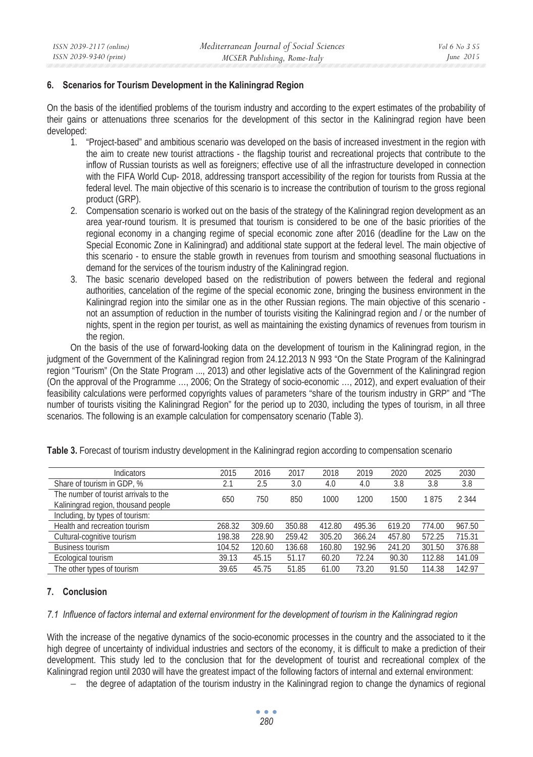# **6. Scenarios for Tourism Development in the Kaliningrad Region**

On the basis of the identified problems of the tourism industry and according to the expert estimates of the probability of their gains or attenuations three scenarios for the development of this sector in the Kaliningrad region have been developed:

- 1. "Project-based" and ambitious scenario was developed on the basis of increased investment in the region with the aim to create new tourist attractions - the flagship tourist and recreational projects that contribute to the inflow of Russian tourists as well as foreigners; effective use of all the infrastructure developed in connection with the FIFA World Cup- 2018, addressing transport accessibility of the region for tourists from Russia at the federal level. The main objective of this scenario is to increase the contribution of tourism to the gross regional product (GRP).
- 2. Compensation scenario is worked out on the basis of the strategy of the Kaliningrad region development as an area year-round tourism. It is presumed that tourism is considered to be one of the basic priorities of the regional economy in a changing regime of special economic zone after 2016 (deadline for the Law on the Special Economic Zone in Kaliningrad) and additional state support at the federal level. The main objective of this scenario - to ensure the stable growth in revenues from tourism and smoothing seasonal fluctuations in demand for the services of the tourism industry of the Kaliningrad region.
- 3. The basic scenario developed based on the redistribution of powers between the federal and regional authorities, cancelation of the regime of the special economic zone, bringing the business environment in the Kaliningrad region into the similar one as in the other Russian regions. The main objective of this scenario not an assumption of reduction in the number of tourists visiting the Kaliningrad region and / or the number of nights, spent in the region per tourist, as well as maintaining the existing dynamics of revenues from tourism in the region.

On the basis of the use of forward-looking data on the development of tourism in the Kaliningrad region, in the judgment of the Government of the Kaliningrad region from 24.12.2013 N 993 "On the State Program of the Kaliningrad region "Tourism" (On the State Program ..., 2013) and other legislative acts of the Government of the Kaliningrad region (On the approval of the Programme …, 2006; On the Strategy of socio-economic …, 2012), and expert evaluation of their feasibility calculations were performed copyrights values of parameters "share of the tourism industry in GRP" and "The number of tourists visiting the Kaliningrad Region" for the period up to 2030, including the types of tourism, in all three scenarios. The following is an example calculation for compensatory scenario (Table 3).

| Indicators                                                                   | 2015   | 2016   | 2017   | 2018   | 2019   | 2020   | 2025   | 2030    |
|------------------------------------------------------------------------------|--------|--------|--------|--------|--------|--------|--------|---------|
| Share of tourism in GDP, %                                                   | 2.1    | 2.5    | 3.0    | 4.0    | 4.0    | 3.8    | 3.8    | 3.8     |
| The number of tourist arrivals to the<br>Kaliningrad region, thousand people | 650    | 750    | 850    | 1000   | 1200   | 1500   | 1875   | 2 3 4 4 |
| Including, by types of tourism:                                              |        |        |        |        |        |        |        |         |
| Health and recreation tourism                                                | 268.32 | 309.60 | 350.88 | 412.80 | 495.36 | 619.20 | 774.00 | 967.50  |
| Cultural-cognitive tourism                                                   | 198.38 | 228.90 | 259.42 | 305.20 | 366.24 | 457.80 | 572.25 | 715.31  |
| <b>Business tourism</b>                                                      | 104.52 | 120.60 | 136.68 | 160.80 | 192.96 | 241.20 | 301.50 | 376.88  |
| Ecological tourism                                                           | 39.13  | 45.15  | 51.17  | 60.20  | 72.24  | 90.30  | 112.88 | 141.09  |
| The other types of tourism                                                   | 39.65  | 45.75  | 51.85  | 61.00  | 73.20  | 91.50  | 114.38 | 142.97  |

**Table 3.** Forecast of tourism industry development in the Kaliningrad region according to compensation scenario

# **7. Conclusion**

# *7.1 Influence of factors internal and external environment for the development of tourism in the Kaliningrad region*

With the increase of the negative dynamics of the socio-economic processes in the country and the associated to it the high degree of uncertainty of individual industries and sectors of the economy, it is difficult to make a prediction of their development. This study led to the conclusion that for the development of tourist and recreational complex of the Kaliningrad region until 2030 will have the greatest impact of the following factors of internal and external environment:

− the degree of adaptation of the tourism industry in the Kaliningrad region to change the dynamics of regional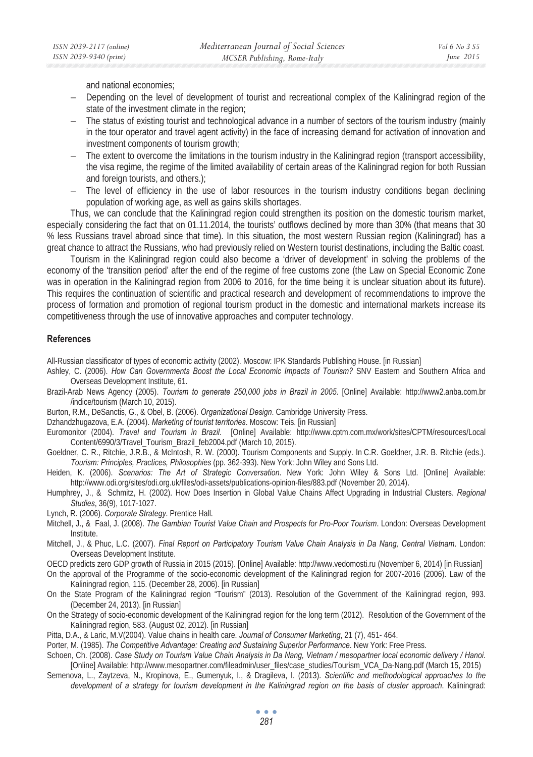and national economies;

- − Depending on the level of development of tourist and recreational complex of the Kaliningrad region of the state of the investment climate in the region;
- The status of existing tourist and technological advance in a number of sectors of the tourism industry (mainly in the tour operator and travel agent activity) in the face of increasing demand for activation of innovation and investment components of tourism growth;
- − The extent to overcome the limitations in the tourism industry in the Kaliningrad region (transport accessibility, the visa regime, the regime of the limited availability of certain areas of the Kaliningrad region for both Russian and foreign tourists, and others.):
- The level of efficiency in the use of labor resources in the tourism industry conditions began declining population of working age, as well as gains skills shortages.

Thus, we can conclude that the Kaliningrad region could strengthen its position on the domestic tourism market, especially considering the fact that on 01.11.2014, the tourists' outflows declined by more than 30% (that means that 30 % less Russians travel abroad since that time). In this situation, the most western Russian region (Kaliningrad) has a great chance to attract the Russians, who had previously relied on Western tourist destinations, including the Baltic coast.

Tourism in the Kaliningrad region could also become a 'driver of development' in solving the problems of the economy of the 'transition period' after the end of the regime of free customs zone (the Law on Special Economic Zone was in operation in the Kaliningrad region from 2006 to 2016, for the time being it is unclear situation about its future). This requires the continuation of scientific and practical research and development of recommendations to improve the process of formation and promotion of regional tourism product in the domestic and international markets increase its competitiveness through the use of innovative approaches and computer technology.

# **References**

All-Russian classificator of types of economic activity (2002). Moscow: IPK Standards Publishing House. [in Russian]

- Ashley, C. (2006). *How Can Governments Boost the Local Economic Impacts of Tourism?* SNV Eastern and Southern Africa and Overseas Development Institute, 61.
- Brazil-Arab News Agency (2005). *Tourism to generate 250,000 jobs in Brazil in 2005*. [Online] Available: http://www2.anba.com.br /indice/tourism (March 10, 2015).
- Burton, R.M., DeSanctis, G., & Obel, B. (2006). *Organizational Design*. Cambridge University Press.

Dzhandzhugazova, E.A. (2004). *Marketing of tourist territories*. Moscow: Teis. [in Russian]

Euromonitor (2004). *Travel and Tourism in Brazil*. [Online] Available: http://www.cptm.com.mx/work/sites/CPTM/resources/Local Content/6990/3/Travel\_Tourism\_Brazil\_feb2004.pdf (March 10, 2015).

Goeldner, C. R., Ritchie, J.R.B., & McIntosh, R. W. (2000). Tourism Components and Supply. In C.R. Goeldner, J.R. B. Ritchie (eds.). *Tourism: Principles, Practices, Philosophies* (pp. 362-393). New York: John Wiley and Sons Ltd.

Heiden, K. (2006). *Scenarios: The Art of Strategic Conversation*. New York: John Wiley & Sons Ltd. [Online] Available: http://www.odi.org/sites/odi.org.uk/files/odi-assets/publications-opinion-files/883.pdf (November 20, 2014).

- Humphrey, J., & Schmitz, H. (2002). How Does Insertion in Global Value Chains Affect Upgrading in Industrial Clusters. *Regional Studies*, 36(9), 1017-1027.
- Lynch, R. (2006). *Corporate Strategy*. Prentice Hall.
- Mitchell, J., & Faal, J. (2008). *The Gambian Tourist Value Chain and Prospects for Pro-Poor Tourism*. London: Overseas Development Institute.
- Mitchell, J., & Phuc, L.C. (2007). *Final Report on Participatory Tourism Value Chain Analysis in Da Nang, Central Vietnam*. London: Overseas Development Institute.
- OECD predicts zero GDP growth of Russia in 2015 (2015). [Online] Available: http://www.vedomosti.ru (November 6, 2014) [in Russian]
- On the approval of the Programme of the socio-economic development of the Kaliningrad region for 2007-2016 (2006). Law of the Kaliningrad region, 115. (December 28, 2006). [in Russian]
- On the State Program of the Kaliningrad region "Tourism" (2013). Resolution of the Government of the Kaliningrad region, 993. (December 24, 2013). [in Russian]
- On the Strategy of socio-economic development of the Kaliningrad region for the long term (2012). Resolution of the Government of the Kaliningrad region, 583. (August 02, 2012). [in Russian]
- Pitta, D.A., & Laric, M.V(2004). Value chains in health care. *Journal of Consumer Marketing*, 21 (7), 451- 464.

Porter, M. (1985). *The Competitive Advantage: Creating and Sustaining Superior Performance*. New York: Free Press.

- Schoen, Ch. (2008). *Case Study on Tourism Value Chain Analysis in Da Nang, Vietnam / mesopartner local economic delivery / Hanoi*. [Online] Available: http://www.mesopartner.com/fileadmin/user\_files/case\_studies/Tourism\_VCA\_Da-Nang.pdf (March 15, 2015)
- Semenova, L., Zaytzeva, N., Kropinova, E., Gumenyuk, I., & Dragileva, I. (2013). *Scientific and methodological approaches to the development of a strategy for tourism development in the Kaliningrad region on the basis of cluster approach*. Kaliningrad: